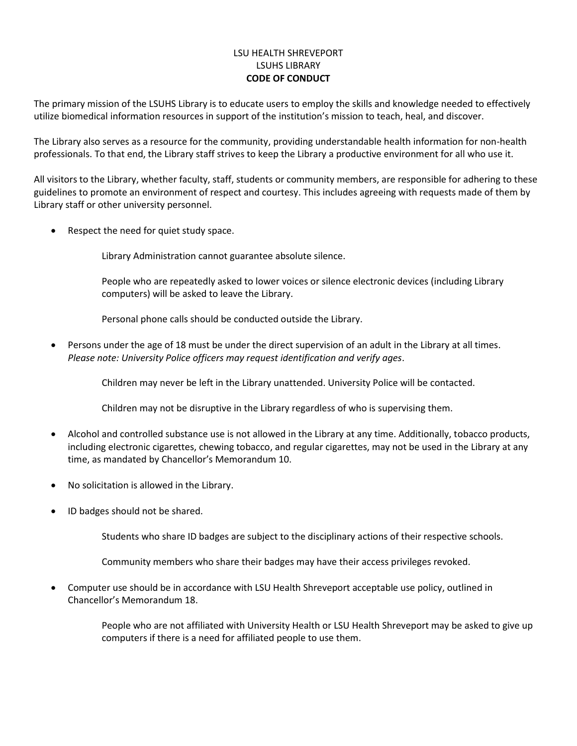## LSU HEALTH SHREVEPORT LSUHS LIBRARY **CODE OF CONDUCT**

The primary mission of the LSUHS Library is to educate users to employ the skills and knowledge needed to effectively utilize biomedical information resources in support of the institution's mission to teach, heal, and discover.

The Library also serves as a resource for the community, providing understandable health information for non-health professionals. To that end, the Library staff strives to keep the Library a productive environment for all who use it.

All visitors to the Library, whether faculty, staff, students or community members, are responsible for adhering to these guidelines to promote an environment of respect and courtesy. This includes agreeing with requests made of them by Library staff or other university personnel.

Respect the need for quiet study space.

Library Administration cannot guarantee absolute silence.

People who are repeatedly asked to lower voices or silence electronic devices (including Library computers) will be asked to leave the Library.

Personal phone calls should be conducted outside the Library.

• Persons under the age of 18 must be under the direct supervision of an adult in the Library at all times. *Please note: University Police officers may request identification and verify ages*.

Children may never be left in the Library unattended. University Police will be contacted.

Children may not be disruptive in the Library regardless of who is supervising them.

- Alcohol and controlled substance use is not allowed in the Library at any time. Additionally, tobacco products, including electronic cigarettes, chewing tobacco, and regular cigarettes, may not be used in the Library at any time, as mandated by Chancellor's Memorandum 10.
- No solicitation is allowed in the Library.
- ID badges should not be shared.

Students who share ID badges are subject to the disciplinary actions of their respective schools.

Community members who share their badges may have their access privileges revoked.

• Computer use should be in accordance with LSU Health Shreveport acceptable use policy, outlined in Chancellor's Memorandum 18.

> People who are not affiliated with University Health or LSU Health Shreveport may be asked to give up computers if there is a need for affiliated people to use them.